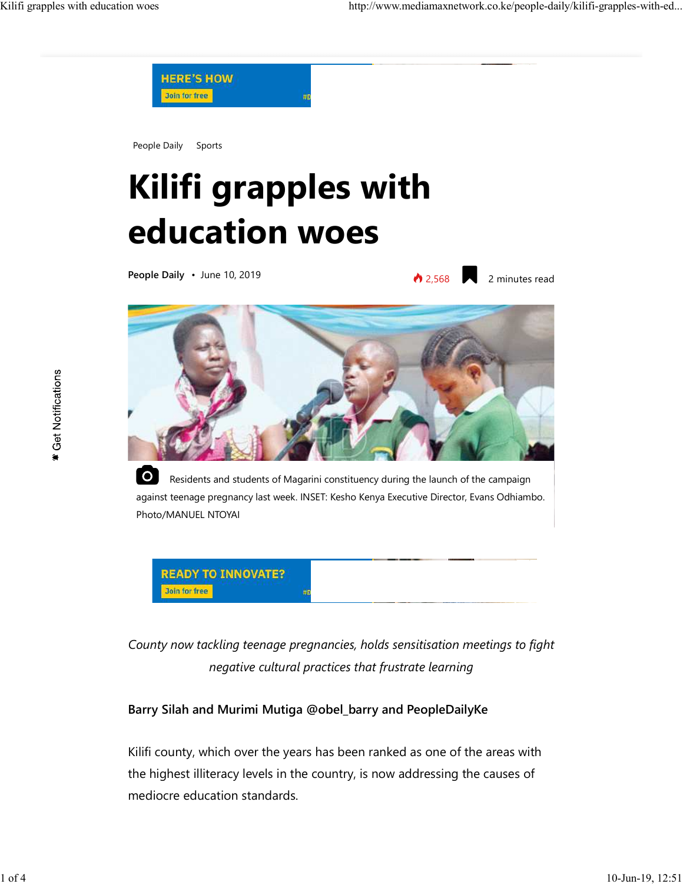

People Daily Sports

## **Kilifi grapples with education woes**

**People Daily** • June 10, 2019

12,568 2 minutes read



 $|O|$  Residents and students of Magarini constituency during the launch of the campaign against teenage pregnancy last week. INSET: Kesho Kenya Executive Director, Evans Odhiambo. Photo/MANUEL NTOYAI



*County now tackling teenage pregnancies, holds sensitisation meetings to fight negative cultural practices that frustrate learning*

## **Barry Silah and Murimi Mutiga @obel\_barry and PeopleDailyKe**

Kilifi county, which over the years has been ranked as one of the areas with the highest illiteracy levels in the country, is now addressing the causes of mediocre education standards.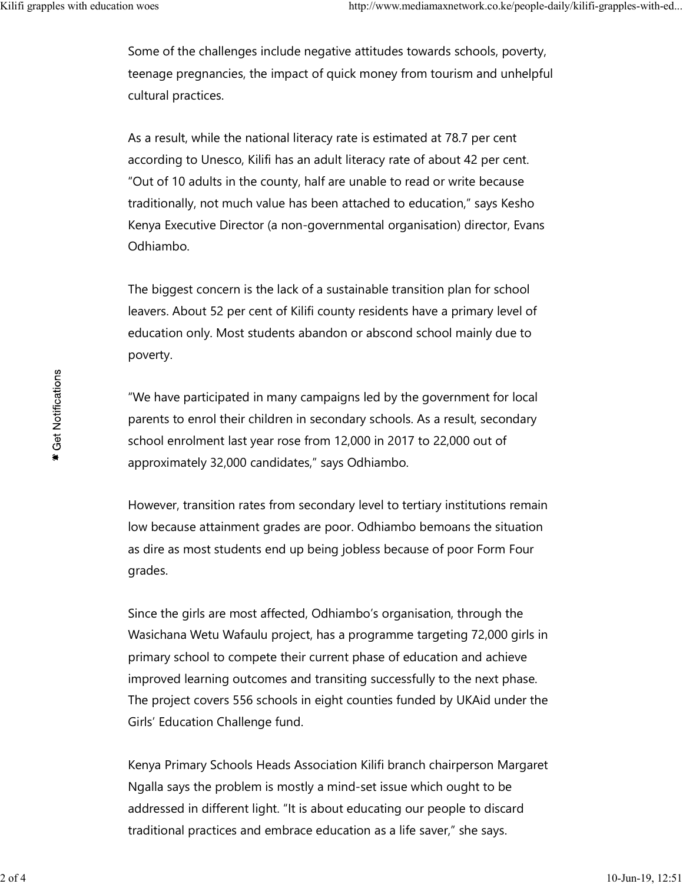Some of the challenges include negative attitudes towards schools, poverty, teenage pregnancies, the impact of quick money from tourism and unhelpful cultural practices.

As a result, while the national literacy rate is estimated at 78.7 per cent according to Unesco, Kilifi has an adult literacy rate of about 42 per cent. "Out of 10 adults in the county, half are unable to read or write because traditionally, not much value has been attached to education," says Kesho Kenya Executive Director (a non-governmental organisation) director, Evans Odhiambo.

The biggest concern is the lack of a sustainable transition plan for school leavers. About 52 per cent of Kilifi county residents have a primary level of education only. Most students abandon or abscond school mainly due to poverty.

"We have participated in many campaigns led by the government for local parents to enrol their children in secondary schools. As a result, secondary school enrolment last year rose from 12,000 in 2017 to 22,000 out of approximately 32,000 candidates," says Odhiambo.

However, transition rates from secondary level to tertiary institutions remain low because attainment grades are poor. Odhiambo bemoans the situation as dire as most students end up being jobless because of poor Form Four grades.

Since the girls are most affected, Odhiambo's organisation, through the Wasichana Wetu Wafaulu project, has a programme targeting 72,000 girls in primary school to compete their current phase of education and achieve improved learning outcomes and transiting successfully to the next phase. The project covers 556 schools in eight counties funded by UKAid under the Girls' Education Challenge fund.

Kenya Primary Schools Heads Association Kilifi branch chairperson Margaret Ngalla says the problem is mostly a mind-set issue which ought to be addressed in different light. "It is about educating our people to discard traditional practices and embrace education as a life saver," she says.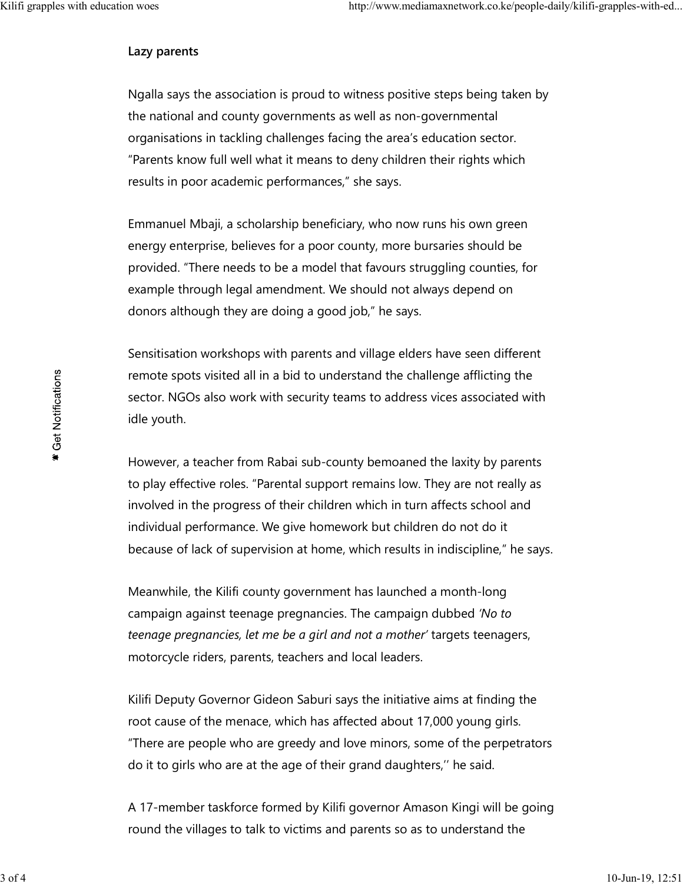## **Lazy parents**

Ngalla says the association is proud to witness positive steps being taken by the national and county governments as well as non-governmental organisations in tackling challenges facing the area's education sector. "Parents know full well what it means to deny children their rights which results in poor academic performances," she says.

Emmanuel Mbaji, a scholarship beneficiary, who now runs his own green energy enterprise, believes for a poor county, more bursaries should be provided. "There needs to be a model that favours struggling counties, for example through legal amendment. We should not always depend on donors although they are doing a good job," he says.

Sensitisation workshops with parents and village elders have seen different remote spots visited all in a bid to understand the challenge afflicting the sector. NGOs also work with security teams to address vices associated with idle youth.

However, a teacher from Rabai sub-county bemoaned the laxity by parents to play effective roles. "Parental support remains low. They are not really as involved in the progress of their children which in turn affects school and individual performance. We give homework but children do not do it because of lack of supervision at home, which results in indiscipline," he says.

Meanwhile, the Kilifi county government has launched a month-long campaign against teenage pregnancies. The campaign dubbed *'No to teenage pregnancies, let me be a girl and not a mother'* targets teenagers, motorcycle riders, parents, teachers and local leaders.

Kilifi Deputy Governor Gideon Saburi says the initiative aims at finding the root cause of the menace, which has affected about 17,000 young girls. "There are people who are greedy and love minors, some of the perpetrators do it to girls who are at the age of their grand daughters,'' he said.

A 17-member taskforce formed by Kilifi governor Amason Kingi will be going round the villages to talk to victims and parents so as to understand the